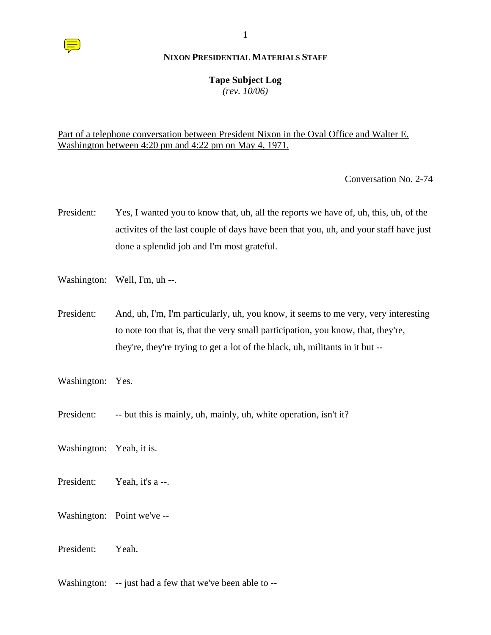### **Tape Subject Log**

*(rev. 10/06)*

# Part of a telephone conversation between President Nixon in the Oval Office and Walter E. Washington between 4:20 pm and 4:22 pm on May 4, 1971.

Conversation No. 2-74

- President: Yes, I wanted you to know that, uh, all the reports we have of, uh, this, uh, of the activites of the last couple of days have been that you, uh, and your staff have just done a splendid job and I'm most grateful.
- Washington: Well, I'm, uh --.
- President: And, uh, I'm, I'm particularly, uh, you know, it seems to me very, very interesting to note too that is, that the very small participation, you know, that, they're, they're, they're trying to get a lot of the black, uh, militants in it but --
- Washington: Yes.
- President: -- but this is mainly, uh, mainly, uh, white operation, isn't it?
- Washington: Yeah, it is.
- President: Yeah, it's a --.
- Washington: Point we've --
- President: Yeah.

Washington: -- just had a few that we've been able to --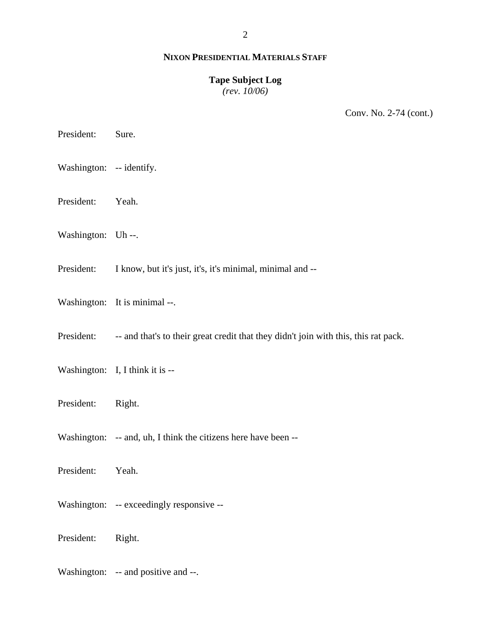2

#### **NIXON PRESIDENTIAL MATERIALS STAFF**

# **Tape Subject Log**

*(rev. 10/06)*

Conv. No. 2-74 (cont.)

President: Sure.

Washington: -- identify.

President: Yeah.

Washington: Uh --.

President: I know, but it's just, it's, it's minimal, minimal and --

Washington: It is minimal --.

President: -- and that's to their great credit that they didn't join with this, this rat pack.

- Washington: I, I think it is --
- President: Right.

Washington: -- and, uh, I think the citizens here have been --

President: Yeah.

Washington: -- exceedingly responsive --

President: Right.

Washington: -- and positive and --.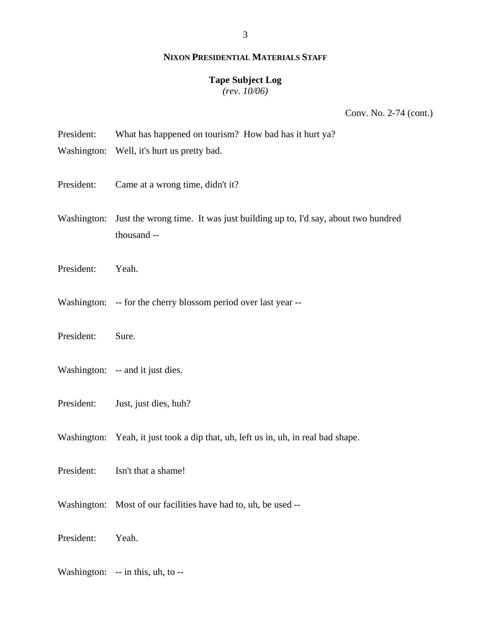#### **Tape Subject Log**

*(rev. 10/06)*

Conv. No. 2-74 (cont.)

- President: What has happened on tourism? How bad has it hurt ya?
- Washington: Well, it's hurt us pretty bad.
- President: Came at a wrong time, didn't it?
- Washington: Just the wrong time. It was just building up to, I'd say, about two hundred thousand --
- President: Yeah.
- Washington: -- for the cherry blossom period over last year --
- President: Sure.
- Washington: -- and it just dies.
- President: Just, just dies, huh?
- Washington: Yeah, it just took a dip that, uh, left us in, uh, in real bad shape.
- President: Isn't that a shame!
- Washington: Most of our facilities have had to, uh, be used --

President: Yeah.

Washington: -- in this, uh, to --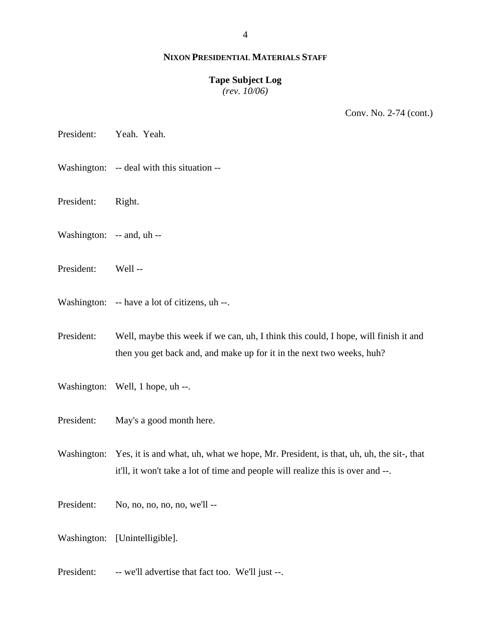#### **Tape Subject Log**

*(rev. 10/06)*

Conv. No. 2-74 (cont.)

President: Yeah. Yeah.

- Washington: -- deal with this situation --
- President: Right.
- Washington: -- and, uh --
- President: Well --
- Washington: -- have a lot of citizens, uh --.

President: Well, maybe this week if we can, uh, I think this could, I hope, will finish it and then you get back and, and make up for it in the next two weeks, huh?

- Washington: Well, 1 hope, uh --.
- President: May's a good month here.

Washington: Yes, it is and what, uh, what we hope, Mr. President, is that, uh, uh, the sit-, that it'll, it won't take a lot of time and people will realize this is over and --.

- President: No, no, no, no, no, we'll --
- Washington: [Unintelligible].
- President: -- we'll advertise that fact too. We'll just --.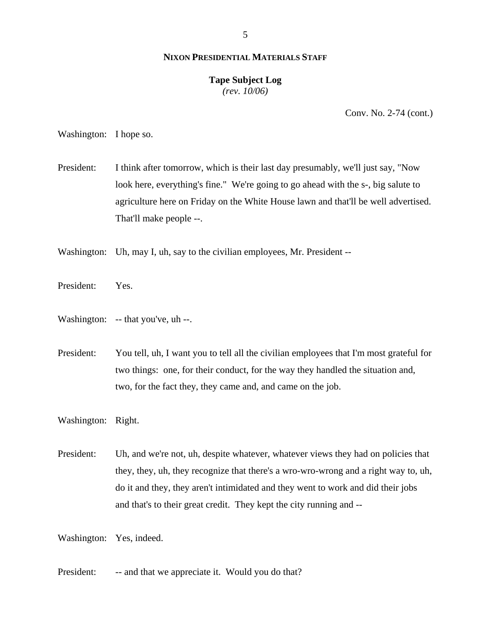## **Tape Subject Log**

*(rev. 10/06)*

Conv. No. 2-74 (cont.)

Washington: I hope so.

President: I think after tomorrow, which is their last day presumably, we'll just say, "Now look here, everything's fine." We're going to go ahead with the s-, big salute to agriculture here on Friday on the White House lawn and that'll be well advertised. That'll make people --.

Washington: Uh, may I, uh, say to the civilian employees, Mr. President --

- President: Yes.
- Washington: -- that you've, uh --.

President: You tell, uh, I want you to tell all the civilian employees that I'm most grateful for two things: one, for their conduct, for the way they handled the situation and, two, for the fact they, they came and, and came on the job.

Washington: Right.

President: Uh, and we're not, uh, despite whatever, whatever views they had on policies that they, they, uh, they recognize that there's a wro-wro-wrong and a right way to, uh, do it and they, they aren't intimidated and they went to work and did their jobs and that's to their great credit. They kept the city running and --

Washington: Yes, indeed.

President: -- and that we appreciate it. Would you do that?